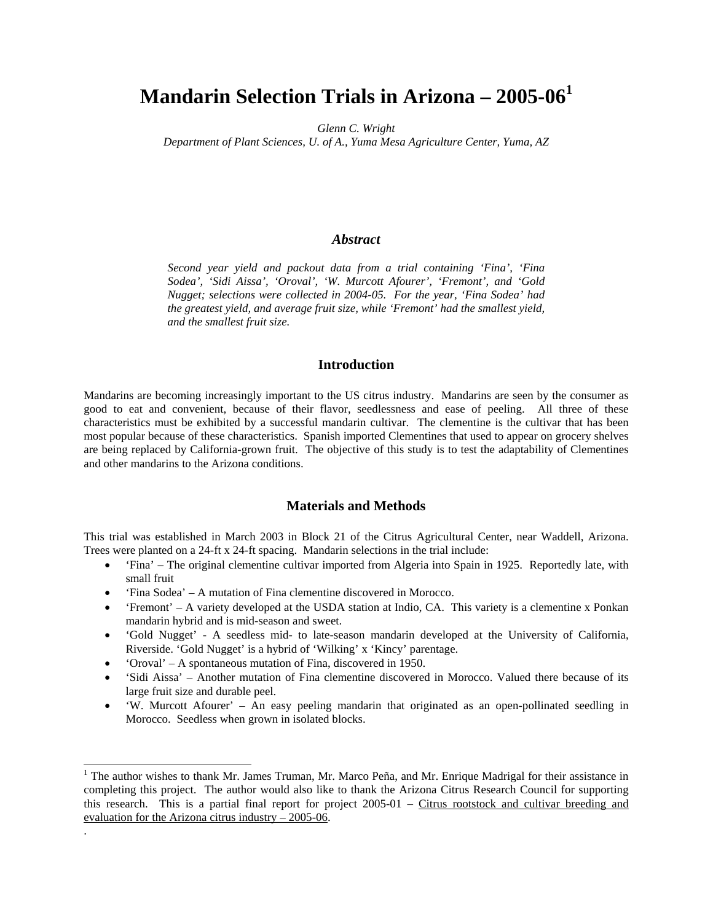# **Mandarin Selection Trials in Arizona – 2005-061**

*Glenn C. Wright* 

*Department of Plant Sciences, U. of A., Yuma Mesa Agriculture Center, Yuma, AZ* 

## *Abstract*

*Second year yield and packout data from a trial containing 'Fina', 'Fina Sodea', 'Sidi Aissa', 'Oroval', 'W. Murcott Afourer', 'Fremont', and 'Gold Nugget; selections were collected in 2004-05. For the year, 'Fina Sodea' had the greatest yield, and average fruit size, while 'Fremont' had the smallest yield, and the smallest fruit size.* 

# **Introduction**

Mandarins are becoming increasingly important to the US citrus industry. Mandarins are seen by the consumer as good to eat and convenient, because of their flavor, seedlessness and ease of peeling. All three of these characteristics must be exhibited by a successful mandarin cultivar. The clementine is the cultivar that has been most popular because of these characteristics. Spanish imported Clementines that used to appear on grocery shelves are being replaced by California-grown fruit. The objective of this study is to test the adaptability of Clementines and other mandarins to the Arizona conditions.

### **Materials and Methods**

This trial was established in March 2003 in Block 21 of the Citrus Agricultural Center, near Waddell, Arizona. Trees were planted on a 24-ft x 24-ft spacing. Mandarin selections in the trial include:

- 'Fina' The original clementine cultivar imported from Algeria into Spain in 1925. Reportedly late, with small fruit
- 'Fina Sodea' A mutation of Fina clementine discovered in Morocco.
- 'Fremont' A variety developed at the USDA station at Indio, CA. This variety is a clementine x Ponkan mandarin hybrid and is mid-season and sweet.
- 'Gold Nugget' A seedless mid- to late-season mandarin developed at the University of California, Riverside. 'Gold Nugget' is a hybrid of 'Wilking' x 'Kincy' parentage.
- 'Oroval' A spontaneous mutation of Fina, discovered in 1950.

 $\overline{a}$ 

.

- 'Sidi Aissa' Another mutation of Fina clementine discovered in Morocco. Valued there because of its large fruit size and durable peel.
- 'W. Murcott Afourer' An easy peeling mandarin that originated as an open-pollinated seedling in Morocco. Seedless when grown in isolated blocks.

<sup>&</sup>lt;sup>1</sup> The author wishes to thank Mr. James Truman, Mr. Marco Peña, and Mr. Enrique Madrigal for their assistance in completing this project. The author would also like to thank the Arizona Citrus Research Council for supporting this research. This is a partial final report for project 2005-01 – Citrus rootstock and cultivar breeding and evaluation for the Arizona citrus industry – 2005-06.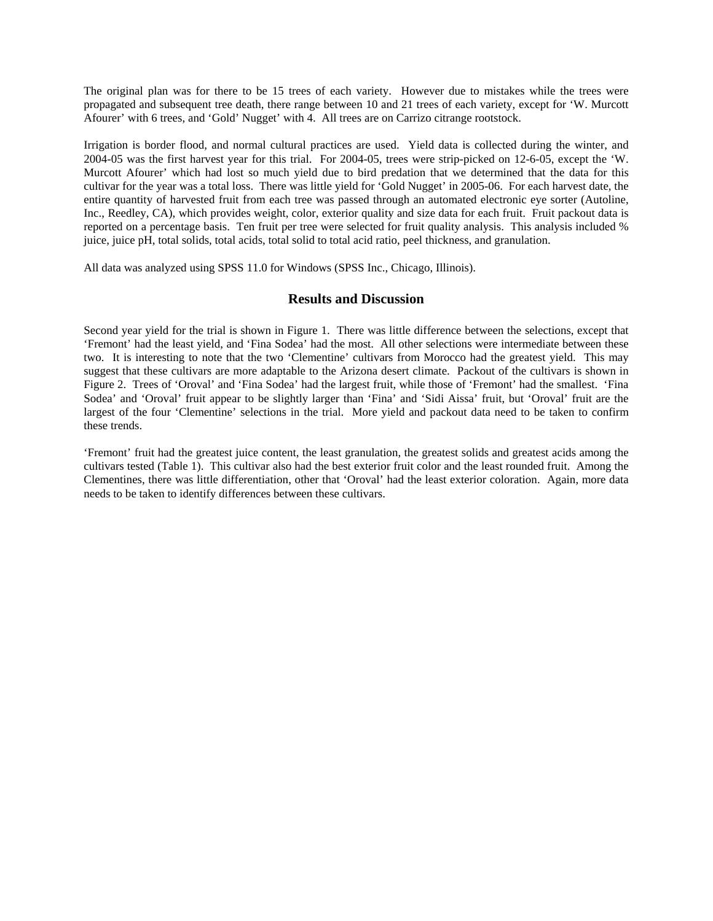The original plan was for there to be 15 trees of each variety. However due to mistakes while the trees were propagated and subsequent tree death, there range between 10 and 21 trees of each variety, except for 'W. Murcott Afourer' with 6 trees, and 'Gold' Nugget' with 4. All trees are on Carrizo citrange rootstock.

Irrigation is border flood, and normal cultural practices are used. Yield data is collected during the winter, and 2004-05 was the first harvest year for this trial. For 2004-05, trees were strip-picked on 12-6-05, except the 'W. Murcott Afourer' which had lost so much yield due to bird predation that we determined that the data for this cultivar for the year was a total loss. There was little yield for 'Gold Nugget' in 2005-06. For each harvest date, the entire quantity of harvested fruit from each tree was passed through an automated electronic eye sorter (Autoline, Inc., Reedley, CA), which provides weight, color, exterior quality and size data for each fruit. Fruit packout data is reported on a percentage basis. Ten fruit per tree were selected for fruit quality analysis. This analysis included % juice, juice pH, total solids, total acids, total solid to total acid ratio, peel thickness, and granulation.

All data was analyzed using SPSS 11.0 for Windows (SPSS Inc., Chicago, Illinois).

#### **Results and Discussion**

Second year yield for the trial is shown in Figure 1. There was little difference between the selections, except that 'Fremont' had the least yield, and 'Fina Sodea' had the most. All other selections were intermediate between these two. It is interesting to note that the two 'Clementine' cultivars from Morocco had the greatest yield. This may suggest that these cultivars are more adaptable to the Arizona desert climate. Packout of the cultivars is shown in Figure 2. Trees of 'Oroval' and 'Fina Sodea' had the largest fruit, while those of 'Fremont' had the smallest. 'Fina Sodea' and 'Oroval' fruit appear to be slightly larger than 'Fina' and 'Sidi Aissa' fruit, but 'Oroval' fruit are the largest of the four 'Clementine' selections in the trial. More yield and packout data need to be taken to confirm these trends.

'Fremont' fruit had the greatest juice content, the least granulation, the greatest solids and greatest acids among the cultivars tested (Table 1). This cultivar also had the best exterior fruit color and the least rounded fruit. Among the Clementines, there was little differentiation, other that 'Oroval' had the least exterior coloration. Again, more data needs to be taken to identify differences between these cultivars.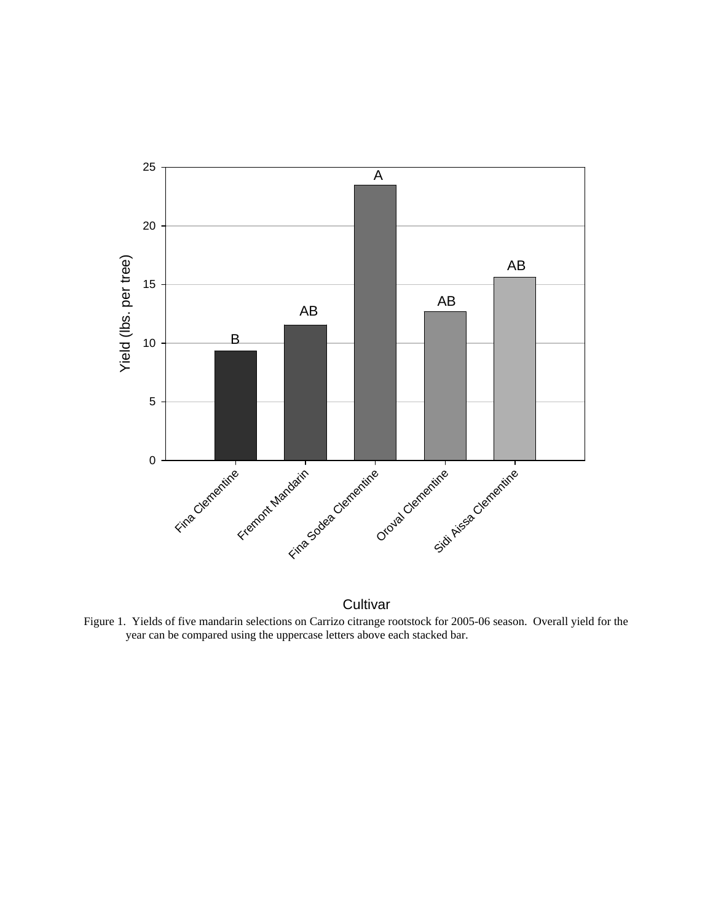

**Cultivar** 

Figure 1. Yields of five mandarin selections on Carrizo citrange rootstock for 2005-06 season. Overall yield for the year can be compared using the uppercase letters above each stacked bar.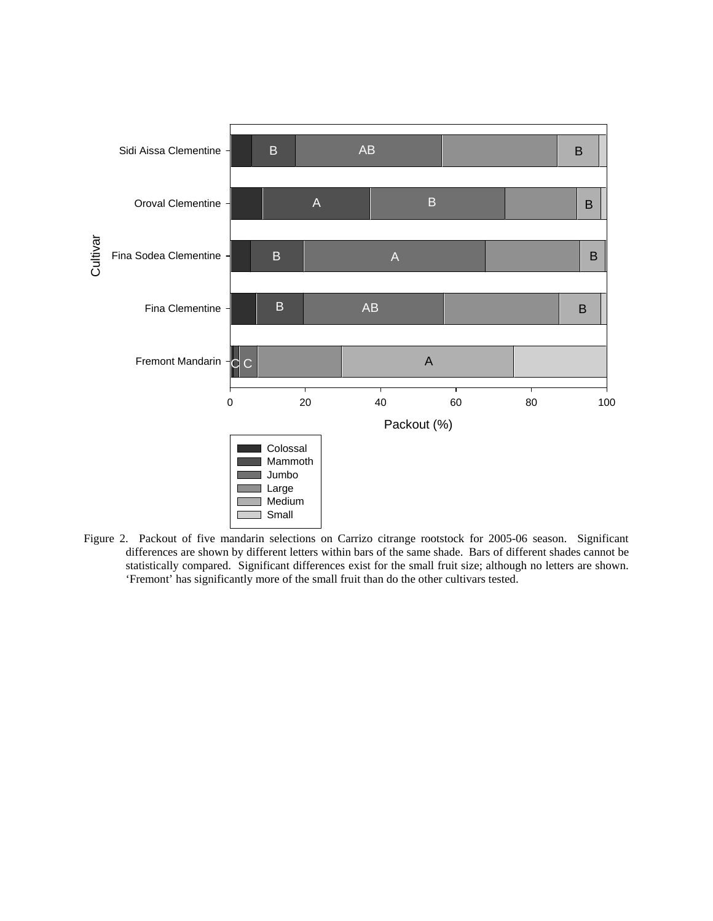

Figure 2. Packout of five mandarin selections on Carrizo citrange rootstock for 2005-06 season. Significant differences are shown by different letters within bars of the same shade. Bars of different shades cannot be statistically compared. Significant differences exist for the small fruit size; although no letters are shown. 'Fremont' has significantly more of the small fruit than do the other cultivars tested.